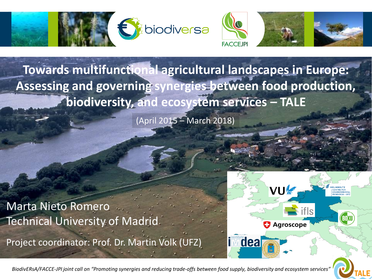

**Towards multifunctional agricultural landscapes in Europe: Assessing and governing synergies between food production, biodiversity, and ecosystem services – TALE**

(April 2015 – March 2018)

Marta Nieto Romero Technical University of Madrid

Project coordinator: Prof. Dr. Martin Volk (UFZ)



*BiodivERsA/FACCE-JPI joint call on "Promoting synergies and reducing trade-offs between food supply, biodiversity and ecosystem services"*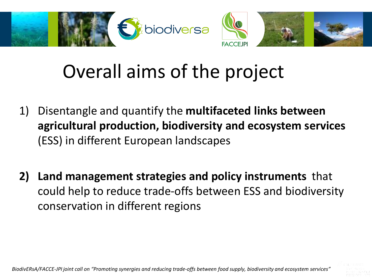

## Overall aims of the project

- 1) Disentangle and quantify the **multifaceted links between agricultural production, biodiversity and ecosystem services** (ESS) in different European landscapes
- **2) Land management strategies and policy instruments** that could help to reduce trade-offs between ESS and biodiversity conservation in different regions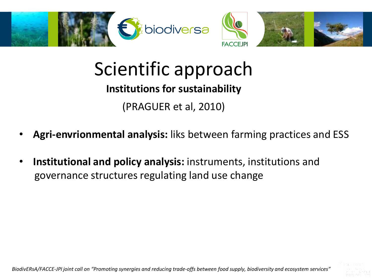

## Scientific approach

## **Institutions for sustainability**

(PRAGUER et al, 2010)

- **Agri-envrionmental analysis:** liks between farming practices and ESS
- **Institutional and policy analysis:** instruments, institutions and governance structures regulating land use change